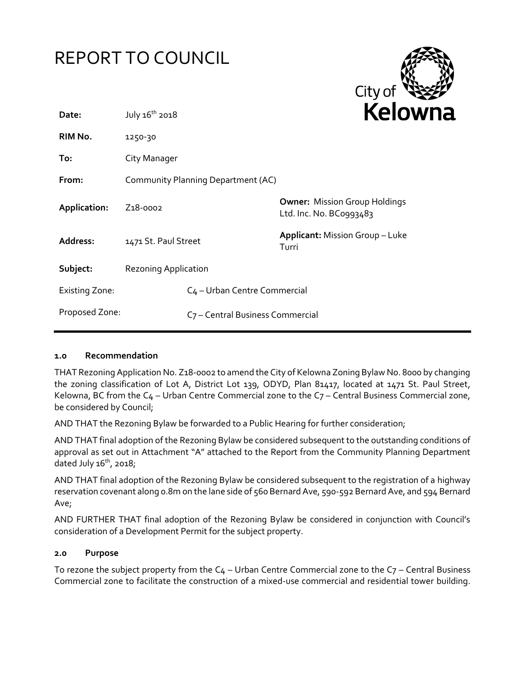# REPORT TO COUNCIL



| Date:                 | July 16 <sup>th</sup> 2018                   |                                          | <b>NPI</b>                                                      |
|-----------------------|----------------------------------------------|------------------------------------------|-----------------------------------------------------------------|
| RIM No.               | 1250-30                                      |                                          |                                                                 |
| To:                   | City Manager                                 |                                          |                                                                 |
| From:                 | Community Planning Department (AC)           |                                          |                                                                 |
| Application:          | Z <sub>1</sub> 8-0002                        |                                          | <b>Owner: Mission Group Holdings</b><br>Ltd. Inc. No. BC0993483 |
| Address:              | 1471 St. Paul Street                         |                                          | <b>Applicant: Mission Group - Luke</b><br>Turri                 |
| Subject:              | <b>Rezoning Application</b>                  |                                          |                                                                 |
| <b>Existing Zone:</b> |                                              | C <sub>4</sub> - Urban Centre Commercial |                                                                 |
| Proposed Zone:        | C <sub>7</sub> - Central Business Commercial |                                          |                                                                 |

## **1.0 Recommendation**

THAT Rezoning Application No. Z18-0002 to amend the City of Kelowna Zoning Bylaw No. 8000 by changing the zoning classification of Lot A, District Lot 139, ODYD, Plan 81417, located at 1471 St. Paul Street, Kelowna, BC from the  $C_4$  – Urban Centre Commercial zone to the  $C_7$  – Central Business Commercial zone, be considered by Council;

AND THAT the Rezoning Bylaw be forwarded to a Public Hearing for further consideration;

AND THAT final adoption of the Rezoning Bylaw be considered subsequent to the outstanding conditions of approval as set out in Attachment "A" attached to the Report from the Community Planning Department dated July  $16<sup>th</sup>$ , 2018;

AND THAT final adoption of the Rezoning Bylaw be considered subsequent to the registration of a highway reservation covenant along 0.8m on the lane side of 560 Bernard Ave, 590-592 Bernard Ave, and 594 Bernard Ave;

AND FURTHER THAT final adoption of the Rezoning Bylaw be considered in conjunction with Council's consideration of a Development Permit for the subject property.

#### **2.0 Purpose**

To rezone the subject property from the  $C_4$  – Urban Centre Commercial zone to the  $C_7$  – Central Business Commercial zone to facilitate the construction of a mixed-use commercial and residential tower building.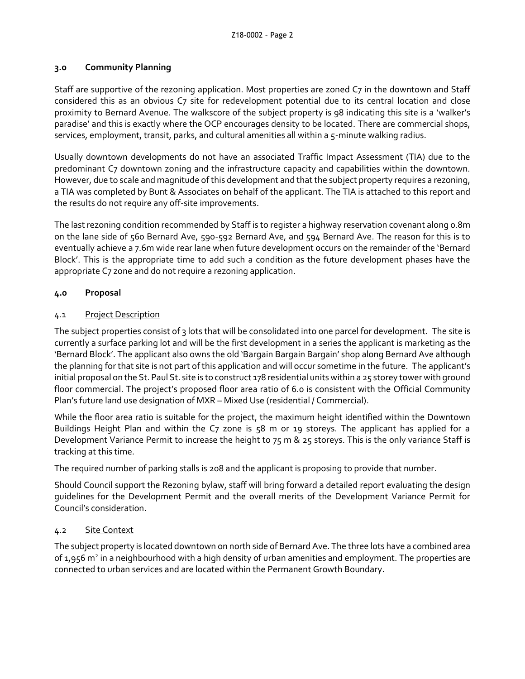#### **3.0 Community Planning**

Staff are supportive of the rezoning application. Most properties are zoned C7 in the downtown and Staff considered this as an obvious C7 site for redevelopment potential due to its central location and close proximity to Bernard Avenue. The walkscore of the subject property is 98 indicating this site is a 'walker's paradise' and this is exactly where the OCP encourages density to be located. There are commercial shops, services, employment, transit, parks, and cultural amenities all within a 5-minute walking radius.

Usually downtown developments do not have an associated Traffic Impact Assessment (TIA) due to the predominant C7 downtown zoning and the infrastructure capacity and capabilities within the downtown. However, due to scale and magnitude of this development and that the subject property requires a rezoning, a TIA was completed by Bunt & Associates on behalf of the applicant. The TIA is attached to this report and the results do not require any off-site improvements.

The last rezoning condition recommended by Staff is to register a highway reservation covenant along 0.8m on the lane side of 560 Bernard Ave, 590-592 Bernard Ave, and 594 Bernard Ave. The reason for this is to eventually achieve a 7.6m wide rear lane when future development occurs on the remainder of the 'Bernard Block'. This is the appropriate time to add such a condition as the future development phases have the appropriate C7 zone and do not require a rezoning application.

## **4.0 Proposal**

## 4.1 Project Description

The subject properties consist of 3 lots that will be consolidated into one parcel for development. The site is currently a surface parking lot and will be the first development in a series the applicant is marketing as the 'Bernard Block'. The applicant also owns the old 'Bargain Bargain Bargain' shop along Bernard Ave although the planning for that site is not part of this application and will occur sometime in the future. The applicant's initial proposal on the St. Paul St. site is to construct 178 residential units within a 25 storey tower with ground floor commercial. The project's proposed floor area ratio of 6.0 is consistent with the Official Community Plan's future land use designation of MXR – Mixed Use (residential / Commercial).

While the floor area ratio is suitable for the project, the maximum height identified within the Downtown Buildings Height Plan and within the C7 zone is 58 m or 19 storeys. The applicant has applied for a Development Variance Permit to increase the height to 75 m & 25 storeys. This is the only variance Staff is tracking at this time.

The required number of parking stalls is 208 and the applicant is proposing to provide that number.

Should Council support the Rezoning bylaw, staff will bring forward a detailed report evaluating the design guidelines for the Development Permit and the overall merits of the Development Variance Permit for Council's consideration.

## 4.2 Site Context

The subject property is located downtown on north side of Bernard Ave. The three lots have a combined area of 1,956 m<sup>2</sup> in a neighbourhood with a high density of urban amenities and employment. The properties are connected to urban services and are located within the Permanent Growth Boundary.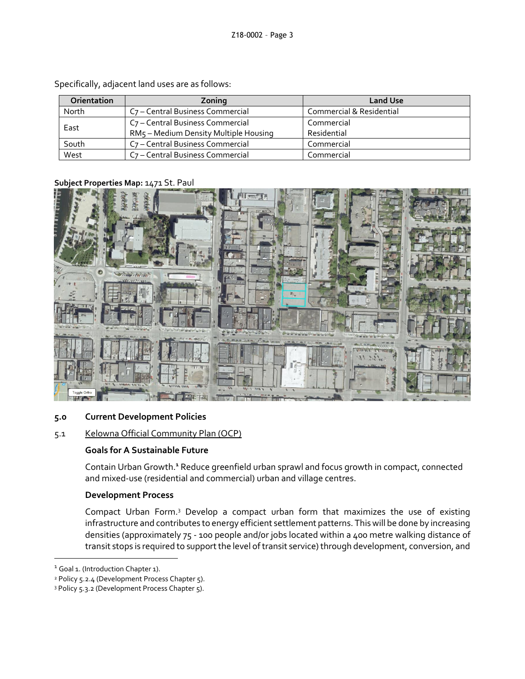| <b>Orientation</b> | Zoning                                       | <b>Land Use</b>          |
|--------------------|----------------------------------------------|--------------------------|
| North              | C <sub>7</sub> - Central Business Commercial | Commercial & Residential |
| East               | C <sub>7</sub> - Central Business Commercial | Commercial               |
|                    | RM5 - Medium Density Multiple Housing        | Residential              |
| South              | C <sub>7</sub> - Central Business Commercial | Commercial               |
| West               | C <sub>7</sub> – Central Business Commercial | Commercial               |

Specifically, adjacent land uses are as follows:

#### **Subject Properties Map:** 1471 St. Paul



## **5.0 Current Development Policies**

## 5.1 Kelowna Official Community Plan (OCP)

## **Goals for A Sustainable Future**

Contain Urban Growth.**<sup>1</sup>** Reduce greenfield urban sprawl and focus growth in compact, connected and mixed-use (residential and commercial) urban and village centres.

## **Development Process**

Compact Urban Form.<sup>3</sup> Develop a compact urban form that maximizes the use of existing infrastructure and contributes to energy efficient settlement patterns. This will be done by increasing densities (approximately 75 - 100 people and/or jobs located within a 400 metre walking distance of transit stops is required to support the level of transit service) through development, conversion, and

-

<sup>&</sup>lt;sup>1</sup> Goal 1. (Introduction Chapter 1).

<sup>&</sup>lt;sup>2</sup> Policy 5.2.4 (Development Process Chapter 5).

<sup>3</sup> Policy 5.3.2 (Development Process Chapter 5).